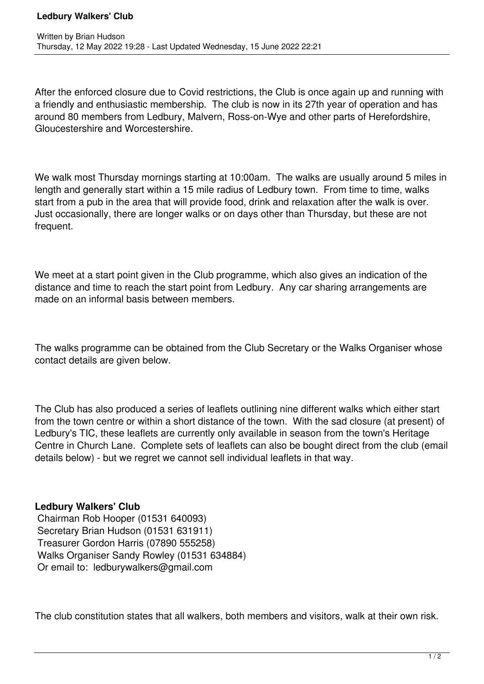After the enforced closure due to Covid restrictions, the Club is once again up and running with a friendly and enthusiastic membership. The club is now in its 27th year of operation and has around 80 members from Ledbury, Malvern, Ross-on-Wye and other parts of Herefordshire, Gloucestershire and Worcestershire.

We walk most Thursday mornings starting at 10:00am. The walks are usually around 5 miles in length and generally start within a 15 mile radius of Ledbury town. From time to time, walks start from a pub in the area that will provide food, drink and relaxation after the walk is over. Just occasionally, there are longer walks or on days other than Thursday, but these are not frequent.

We meet at a start point given in the Club programme, which also gives an indication of the distance and time to reach the start point from Ledbury. Any car sharing arrangements are made on an informal basis between members.

The walks programme can be obtained from the Club Secretary or the Walks Organiser whose contact details are given below.

The Club has also produced a series of leaflets outlining nine different walks which either start from the town centre or within a short distance of the town. With the sad closure (at present) of Ledbury's TIC, these leaflets are currently only available in season from the town's Heritage Centre in Church Lane. Complete sets of leaflets can also be bought direct from the club (email details below) - but we regret we cannot sell individual leaflets in that way.

## **Ledbury Walkers' Club**

 Chairman Rob Hooper (01531 640093) Secretary Brian Hudson (01531 631911) Treasurer Gordon Harris (07890 555258) Walks Organiser Sandy Rowley (01531 634884) Or email to: ledburywalkers@gmail.com

The club constitution states that all walkers, both members and visitors, walk at their own risk.